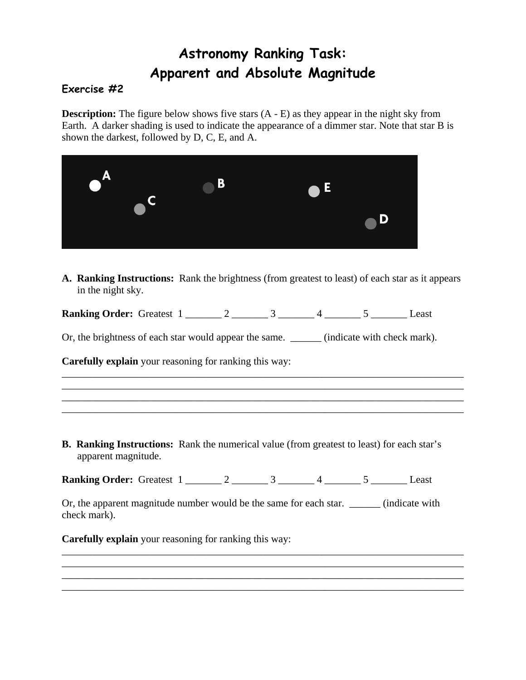## **Astronomy Ranking Task: Apparent and Absolute Magnitude**

## **Exercise #2**

**Description:** The figure below shows five stars  $(A - E)$  as they appear in the night sky from Earth. A darker shading is used to indicate the appearance of a dimmer star. Note that star B is shown the darkest, followed by D, C, E, and A.

| $\blacksquare$ $\blacksquare$ | B | $\blacksquare$ |   |
|-------------------------------|---|----------------|---|
|                               |   |                | D |

**A. Ranking Instructions:** Rank the brightness (from greatest to least) of each star as it appears in the night sky.

\_\_\_\_\_\_\_\_\_\_\_\_\_\_\_\_\_\_\_\_\_\_\_\_\_\_\_\_\_\_\_\_\_\_\_\_\_\_\_\_\_\_\_\_\_\_\_\_\_\_\_\_\_\_\_\_\_\_\_\_\_\_\_\_\_\_\_\_\_\_\_\_\_\_\_\_\_\_ \_\_\_\_\_\_\_\_\_\_\_\_\_\_\_\_\_\_\_\_\_\_\_\_\_\_\_\_\_\_\_\_\_\_\_\_\_\_\_\_\_\_\_\_\_\_\_\_\_\_\_\_\_\_\_\_\_\_\_\_\_\_\_\_\_\_\_\_\_\_\_\_\_\_\_\_\_\_ \_\_\_\_\_\_\_\_\_\_\_\_\_\_\_\_\_\_\_\_\_\_\_\_\_\_\_\_\_\_\_\_\_\_\_\_\_\_\_\_\_\_\_\_\_\_\_\_\_\_\_\_\_\_\_\_\_\_\_\_\_\_\_\_\_\_\_\_\_\_\_\_\_\_\_\_\_\_ \_\_\_\_\_\_\_\_\_\_\_\_\_\_\_\_\_\_\_\_\_\_\_\_\_\_\_\_\_\_\_\_\_\_\_\_\_\_\_\_\_\_\_\_\_\_\_\_\_\_\_\_\_\_\_\_\_\_\_\_\_\_\_\_\_\_\_\_\_\_\_\_\_\_\_\_\_\_

**Ranking Order:** Greatest 1 \_\_\_\_\_\_\_ 2 \_\_\_\_\_\_\_ 3 \_\_\_\_\_\_\_ 4 \_\_\_\_\_\_ 5 \_\_\_\_\_\_\_ Least

Or, the brightness of each star would appear the same. \_\_\_\_\_\_\_ (indicate with check mark).

**Carefully explain** your reasoning for ranking this way:

**B. Ranking Instructions:** Rank the numerical value (from greatest to least) for each star's apparent magnitude.

**Ranking Order:** Greatest 1 \_\_\_\_\_\_\_ 2 \_\_\_\_\_\_\_ 3 \_\_\_\_\_\_ 4 \_\_\_\_\_\_ 5 \_\_\_\_\_\_ Least

Or, the apparent magnitude number would be the same for each star. \_\_\_\_\_\_\_ (indicate with check mark).

\_\_\_\_\_\_\_\_\_\_\_\_\_\_\_\_\_\_\_\_\_\_\_\_\_\_\_\_\_\_\_\_\_\_\_\_\_\_\_\_\_\_\_\_\_\_\_\_\_\_\_\_\_\_\_\_\_\_\_\_\_\_\_\_\_\_\_\_\_\_\_\_\_\_\_\_\_\_ \_\_\_\_\_\_\_\_\_\_\_\_\_\_\_\_\_\_\_\_\_\_\_\_\_\_\_\_\_\_\_\_\_\_\_\_\_\_\_\_\_\_\_\_\_\_\_\_\_\_\_\_\_\_\_\_\_\_\_\_\_\_\_\_\_\_\_\_\_\_\_\_\_\_\_\_\_\_

\_\_\_\_\_\_\_\_\_\_\_\_\_\_\_\_\_\_\_\_\_\_\_\_\_\_\_\_\_\_\_\_\_\_\_\_\_\_\_\_\_\_\_\_\_\_\_\_\_\_\_\_\_\_\_\_\_\_\_\_\_\_\_\_\_\_\_\_\_\_\_\_\_\_\_\_\_\_

**Carefully explain** your reasoning for ranking this way: